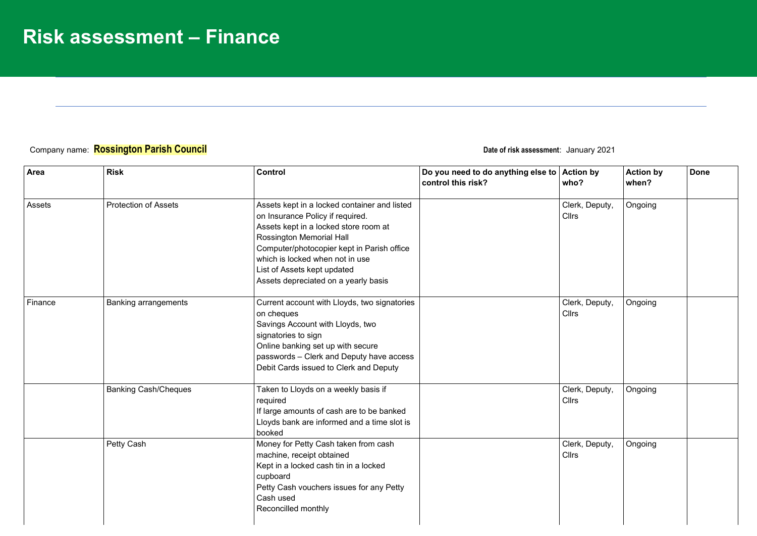## Company name: **Rossington Parish Council Date of risk assessment**: January 2021

| Area    | <b>Risk</b>                 | Control                                                                                                                                                                                                                                                                                                       | Do you need to do anything else to Action by<br>control this risk? | who?                           | <b>Action by</b><br>when? | <b>Done</b> |
|---------|-----------------------------|---------------------------------------------------------------------------------------------------------------------------------------------------------------------------------------------------------------------------------------------------------------------------------------------------------------|--------------------------------------------------------------------|--------------------------------|---------------------------|-------------|
| Assets  | <b>Protection of Assets</b> | Assets kept in a locked container and listed<br>on Insurance Policy if required.<br>Assets kept in a locked store room at<br>Rossington Memorial Hall<br>Computer/photocopier kept in Parish office<br>which is locked when not in use<br>List of Assets kept updated<br>Assets depreciated on a yearly basis |                                                                    | Clerk, Deputy,<br><b>Cllrs</b> | Ongoing                   |             |
| Finance | <b>Banking arrangements</b> | Current account with Lloyds, two signatories<br>on cheques<br>Savings Account with Lloyds, two<br>signatories to sign<br>Online banking set up with secure<br>passwords - Clerk and Deputy have access<br>Debit Cards issued to Clerk and Deputy                                                              |                                                                    | Clerk, Deputy,<br><b>Cllrs</b> | Ongoing                   |             |
|         | <b>Banking Cash/Cheques</b> | Taken to Lloyds on a weekly basis if<br>required<br>If large amounts of cash are to be banked<br>Lloyds bank are informed and a time slot is<br>booked                                                                                                                                                        |                                                                    | Clerk, Deputy,<br>Cllrs        | Ongoing                   |             |
|         | Petty Cash                  | Money for Petty Cash taken from cash<br>machine, receipt obtained<br>Kept in a locked cash tin in a locked<br>cupboard<br>Petty Cash vouchers issues for any Petty<br>Cash used<br>Reconcilled monthly                                                                                                        |                                                                    | Clerk, Deputy,<br><b>Cllrs</b> | Ongoing                   |             |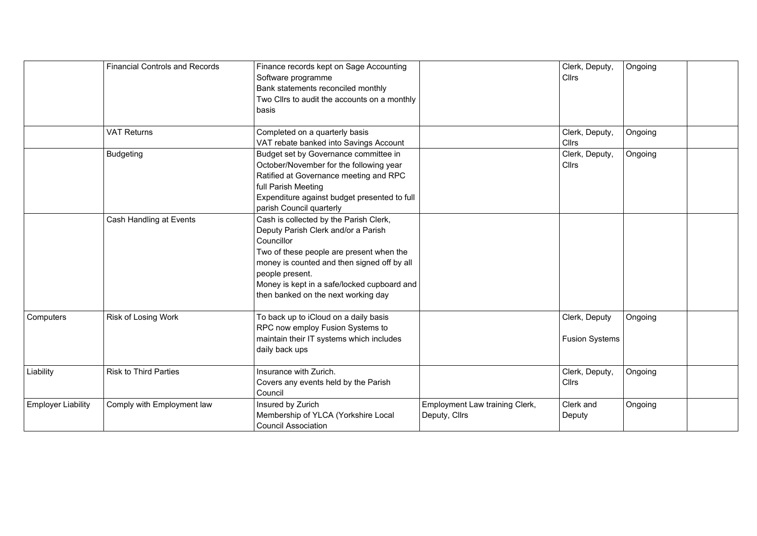|                           | <b>Financial Controls and Records</b> | Finance records kept on Sage Accounting<br>Software programme<br>Bank statements reconciled monthly<br>Two Clirs to audit the accounts on a monthly<br>basis                                                                                                                                    |                                                 | Clerk, Deputy,<br><b>Cllrs</b>         | Ongoing |  |
|---------------------------|---------------------------------------|-------------------------------------------------------------------------------------------------------------------------------------------------------------------------------------------------------------------------------------------------------------------------------------------------|-------------------------------------------------|----------------------------------------|---------|--|
|                           | <b>VAT Returns</b>                    | Completed on a quarterly basis<br>VAT rebate banked into Savings Account                                                                                                                                                                                                                        |                                                 | Clerk, Deputy,<br>Cllrs                | Ongoing |  |
|                           | <b>Budgeting</b>                      | Budget set by Governance committee in<br>October/November for the following year<br>Ratified at Governance meeting and RPC<br>full Parish Meeting<br>Expenditure against budget presented to full<br>parish Council quarterly                                                                   |                                                 | Clerk, Deputy,<br><b>Cllrs</b>         | Ongoing |  |
|                           | Cash Handling at Events               | Cash is collected by the Parish Clerk,<br>Deputy Parish Clerk and/or a Parish<br>Councillor<br>Two of these people are present when the<br>money is counted and then signed off by all<br>people present.<br>Money is kept in a safe/locked cupboard and<br>then banked on the next working day |                                                 |                                        |         |  |
| Computers                 | Risk of Losing Work                   | To back up to iCloud on a daily basis<br>RPC now employ Fusion Systems to<br>maintain their IT systems which includes<br>daily back ups                                                                                                                                                         |                                                 | Clerk, Deputy<br><b>Fusion Systems</b> | Ongoing |  |
| Liability                 | Risk to Third Parties                 | Insurance with Zurich.<br>Covers any events held by the Parish<br>Council                                                                                                                                                                                                                       |                                                 | Clerk, Deputy,<br>Cllrs                | Ongoing |  |
| <b>Employer Liability</b> | Comply with Employment law            | Insured by Zurich<br>Membership of YLCA (Yorkshire Local<br><b>Council Association</b>                                                                                                                                                                                                          | Employment Law training Clerk,<br>Deputy, Cllrs | Clerk and<br>Deputy                    | Ongoing |  |